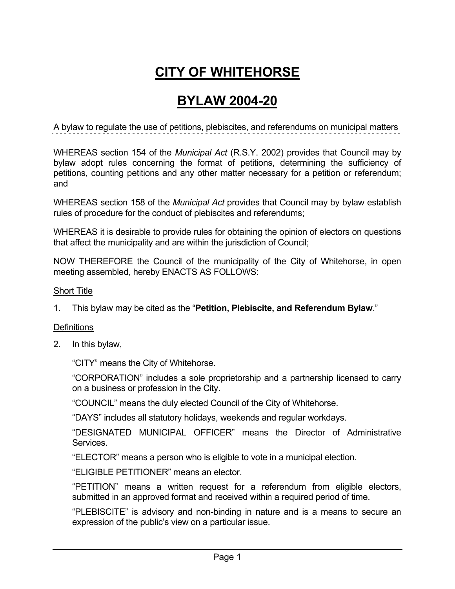# **CITY OF WHITEHORSE**

## **BYLAW 2004-20**

A bylaw to regulate the use of petitions, plebiscites, and referendums on municipal matters

WHEREAS section 154 of the *Municipal Act* (R.S.Y. 2002) provides that Council may by bylaw adopt rules concerning the format of petitions, determining the sufficiency of petitions, counting petitions and any other matter necessary for a petition or referendum; and

WHEREAS section 158 of the *Municipal Act* provides that Council may by bylaw establish rules of procedure for the conduct of plebiscites and referendums;

WHEREAS it is desirable to provide rules for obtaining the opinion of electors on questions that affect the municipality and are within the jurisdiction of Council;

NOW THEREFORE the Council of the municipality of the City of Whitehorse, in open meeting assembled, hereby ENACTS AS FOLLOWS:

#### Short Title

1. This bylaw may be cited as the "**Petition, Plebiscite, and Referendum Bylaw**."

#### **Definitions**

2. In this bylaw,

"CITY" means the City of Whitehorse.

"CORPORATION" includes a sole proprietorship and a partnership licensed to carry on a business or profession in the City.

"COUNCIL" means the duly elected Council of the City of Whitehorse.

"DAYS" includes all statutory holidays, weekends and regular workdays.

"DESIGNATED MUNICIPAL OFFICER" means the Director of Administrative Services.

"ELECTOR" means a person who is eligible to vote in a municipal election.

"ELIGIBLE PETITIONER" means an elector.

"PETITION" means a written request for a referendum from eligible electors, submitted in an approved format and received within a required period of time.

"PLEBISCITE" is advisory and non-binding in nature and is a means to secure an expression of the public's view on a particular issue.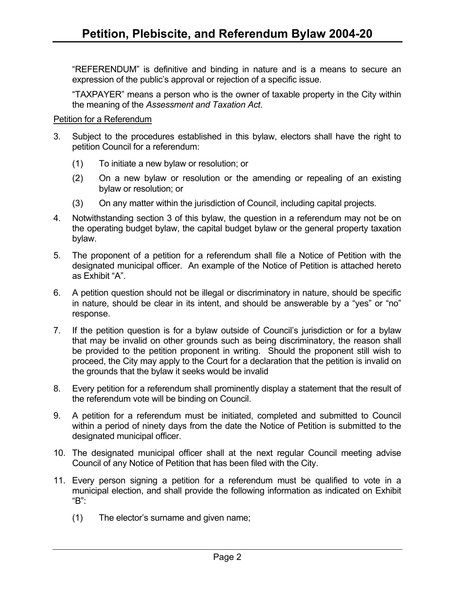"REFERENDUM" is definitive and binding in nature and is a means to secure an expression of the public's approval or rejection of a specific issue.

"TAXPAYER" means a person who is the owner of taxable property in the City within the meaning of the *Assessment and Taxation Act*.

#### Petition for a Referendum

- 3. Subject to the procedures established in this bylaw, electors shall have the right to petition Council for a referendum:
	- (1) To initiate a new bylaw or resolution; or
	- (2) On a new bylaw or resolution or the amending or repealing of an existing bylaw or resolution; or
	- (3) On any matter within the jurisdiction of Council, including capital projects.
- 4. Notwithstanding section 3 of this bylaw, the question in a referendum may not be on the operating budget bylaw, the capital budget bylaw or the general property taxation bylaw.
- 5. The proponent of a petition for a referendum shall file a Notice of Petition with the designated municipal officer. An example of the Notice of Petition is attached hereto as Exhibit "A".
- 6. A petition question should not be illegal or discriminatory in nature, should be specific in nature, should be clear in its intent, and should be answerable by a "yes" or "no" response.
- 7. If the petition question is for a bylaw outside of Council's jurisdiction or for a bylaw that may be invalid on other grounds such as being discriminatory, the reason shall be provided to the petition proponent in writing. Should the proponent still wish to proceed, the City may apply to the Court for a declaration that the petition is invalid on the grounds that the bylaw it seeks would be invalid
- 8. Every petition for a referendum shall prominently display a statement that the result of the referendum vote will be binding on Council.
- 9. A petition for a referendum must be initiated, completed and submitted to Council within a period of ninety days from the date the Notice of Petition is submitted to the designated municipal officer.
- 10. The designated municipal officer shall at the next regular Council meeting advise Council of any Notice of Petition that has been filed with the City.
- 11. Every person signing a petition for a referendum must be qualified to vote in a municipal election, and shall provide the following information as indicated on Exhibit "B":
	- (1) The elector's surname and given name;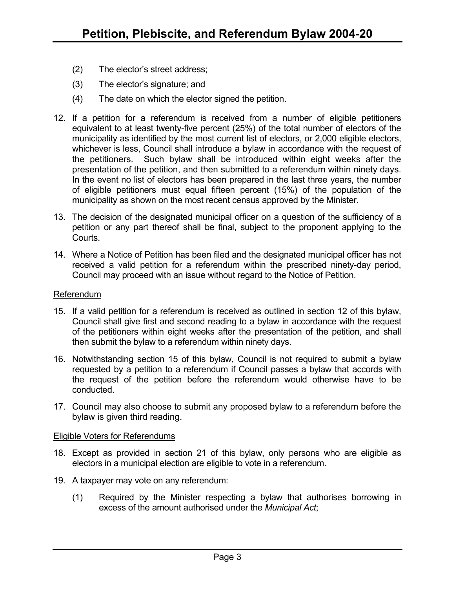- (2) The elector's street address;
- (3) The elector's signature; and
- (4) The date on which the elector signed the petition.
- 12. If a petition for a referendum is received from a number of eligible petitioners equivalent to at least twenty-five percent (25%) of the total number of electors of the municipality as identified by the most current list of electors, or 2,000 eligible electors, whichever is less, Council shall introduce a bylaw in accordance with the request of the petitioners. Such bylaw shall be introduced within eight weeks after the presentation of the petition, and then submitted to a referendum within ninety days. In the event no list of electors has been prepared in the last three years, the number of eligible petitioners must equal fifteen percent (15%) of the population of the municipality as shown on the most recent census approved by the Minister.
- 13. The decision of the designated municipal officer on a question of the sufficiency of a petition or any part thereof shall be final, subject to the proponent applying to the Courts.
- 14. Where a Notice of Petition has been filed and the designated municipal officer has not received a valid petition for a referendum within the prescribed ninety-day period, Council may proceed with an issue without regard to the Notice of Petition.

#### Referendum

- 15. If a valid petition for a referendum is received as outlined in section 12 of this bylaw, Council shall give first and second reading to a bylaw in accordance with the request of the petitioners within eight weeks after the presentation of the petition, and shall then submit the bylaw to a referendum within ninety days.
- 16. Notwithstanding section 15 of this bylaw, Council is not required to submit a bylaw requested by a petition to a referendum if Council passes a bylaw that accords with the request of the petition before the referendum would otherwise have to be conducted.
- 17. Council may also choose to submit any proposed bylaw to a referendum before the bylaw is given third reading.

#### Eligible Voters for Referendums

- 18. Except as provided in section 21 of this bylaw, only persons who are eligible as electors in a municipal election are eligible to vote in a referendum.
- 19. A taxpayer may vote on any referendum:
	- (1) Required by the Minister respecting a bylaw that authorises borrowing in excess of the amount authorised under the *Municipal Act*;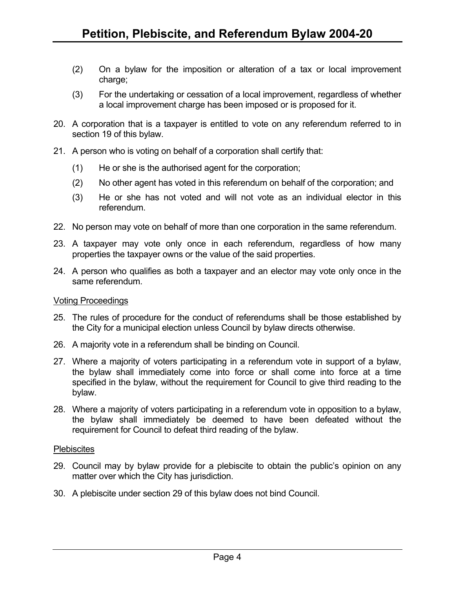- (2) On a bylaw for the imposition or alteration of a tax or local improvement charge;
- (3) For the undertaking or cessation of a local improvement, regardless of whether a local improvement charge has been imposed or is proposed for it.
- 20. A corporation that is a taxpayer is entitled to vote on any referendum referred to in section 19 of this bylaw.
- 21. A person who is voting on behalf of a corporation shall certify that:
	- (1) He or she is the authorised agent for the corporation;
	- (2) No other agent has voted in this referendum on behalf of the corporation; and
	- (3) He or she has not voted and will not vote as an individual elector in this referendum.
- 22. No person may vote on behalf of more than one corporation in the same referendum.
- 23. A taxpayer may vote only once in each referendum, regardless of how many properties the taxpayer owns or the value of the said properties.
- 24. A person who qualifies as both a taxpayer and an elector may vote only once in the same referendum.

#### Voting Proceedings

- 25. The rules of procedure for the conduct of referendums shall be those established by the City for a municipal election unless Council by bylaw directs otherwise.
- 26. A majority vote in a referendum shall be binding on Council.
- 27. Where a majority of voters participating in a referendum vote in support of a bylaw, the bylaw shall immediately come into force or shall come into force at a time specified in the bylaw, without the requirement for Council to give third reading to the bylaw.
- 28. Where a majority of voters participating in a referendum vote in opposition to a bylaw, the bylaw shall immediately be deemed to have been defeated without the requirement for Council to defeat third reading of the bylaw.

#### **Plebiscites**

- 29. Council may by bylaw provide for a plebiscite to obtain the public's opinion on any matter over which the City has jurisdiction.
- 30. A plebiscite under section 29 of this bylaw does not bind Council.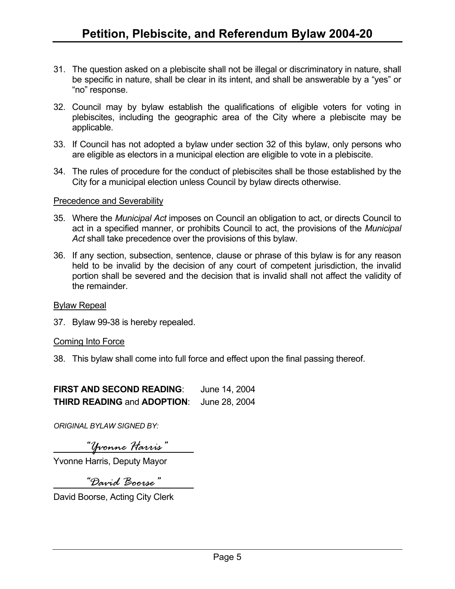- 31. The question asked on a plebiscite shall not be illegal or discriminatory in nature, shall be specific in nature, shall be clear in its intent, and shall be answerable by a "yes" or "no" response.
- 32. Council may by bylaw establish the qualifications of eligible voters for voting in plebiscites, including the geographic area of the City where a plebiscite may be applicable.
- 33. If Council has not adopted a bylaw under section 32 of this bylaw, only persons who are eligible as electors in a municipal election are eligible to vote in a plebiscite.
- 34. The rules of procedure for the conduct of plebiscites shall be those established by the City for a municipal election unless Council by bylaw directs otherwise.

#### Precedence and Severability

- 35. Where the *Municipal Act* imposes on Council an obligation to act, or directs Council to act in a specified manner, or prohibits Council to act, the provisions of the *Municipal Act* shall take precedence over the provisions of this bylaw.
- 36. If any section, subsection, sentence, clause or phrase of this bylaw is for any reason held to be invalid by the decision of any court of competent jurisdiction, the invalid portion shall be severed and the decision that is invalid shall not affect the validity of the remainder.

#### Bylaw Repeal

37. Bylaw 99-38 is hereby repealed.

#### Coming Into Force

38. This bylaw shall come into full force and effect upon the final passing thereof.

| <b>FIRST AND SECOND READING:</b>   | June 14, 2004 |
|------------------------------------|---------------|
| <b>THIRD READING and ADOPTION:</b> | June 28, 2004 |

*ORIGINAL BYLAW SIGNED BY:* 

*"Yvonne Harris"* 

Yvonne Harris, Deputy Mayor

*"David Boorse"* 

David Boorse, Acting City Clerk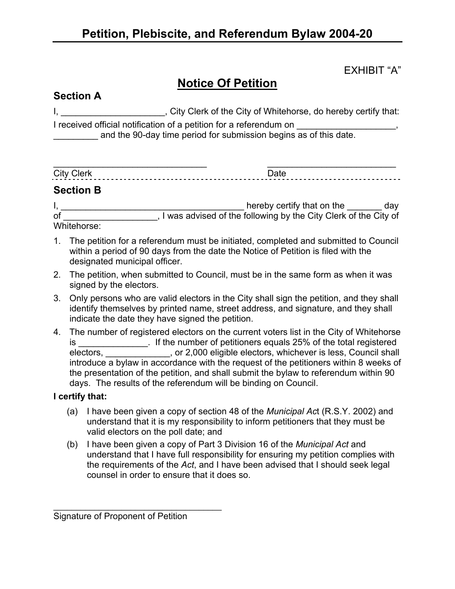EXHIBIT "A"

## **Notice Of Petition**

| <b>Section A</b> |                                                                                                                                         |
|------------------|-----------------------------------------------------------------------------------------------------------------------------------------|
|                  | , City Clerk of the City of Whitehorse, do hereby certify that:                                                                         |
|                  | I received official notification of a petition for a referendum on<br>and the 90-day time period for submission begins as of this date. |

| City. |  |
|-------|--|
|       |  |

#### **Section B**

I, \_\_\_\_\_\_\_\_\_\_\_\_\_\_\_\_\_\_\_\_\_\_\_\_\_\_\_\_\_\_\_\_\_\_\_\_\_ hereby certify that on the \_\_\_\_\_\_\_ day of \_\_\_\_\_\_\_\_\_\_\_\_\_\_\_\_\_\_\_\_, I was advised of the following by the City Clerk of the City of Whitehorse:

- 1. The petition for a referendum must be initiated, completed and submitted to Council within a period of 90 days from the date the Notice of Petition is filed with the designated municipal officer.
- 2. The petition, when submitted to Council, must be in the same form as when it was signed by the electors.
- 3. Only persons who are valid electors in the City shall sign the petition, and they shall identify themselves by printed name, street address, and signature, and they shall indicate the date they have signed the petition.
- 4. The number of registered electors on the current voters list in the City of Whitehorse is \_\_\_\_\_\_\_\_\_\_\_\_\_\_. If the number of petitioners equals 25% of the total registered electors, \_\_\_\_\_\_\_\_\_\_\_\_, or 2,000 eligible electors, whichever is less, Council shall introduce a bylaw in accordance with the request of the petitioners within 8 weeks of the presentation of the petition, and shall submit the bylaw to referendum within 90 days. The results of the referendum will be binding on Council.

#### **I certify that:**

- (a) I have been given a copy of section 48 of the *Municipal Ac*t (R.S.Y. 2002) and understand that it is my responsibility to inform petitioners that they must be valid electors on the poll date; and
- (b) I have been given a copy of Part 3 Division 16 of the *Municipal Act* and understand that I have full responsibility for ensuring my petition complies with the requirements of the *Act*, and I have been advised that I should seek legal counsel in order to ensure that it does so.

\_\_\_\_\_\_\_\_\_\_\_\_\_\_\_\_\_\_\_\_\_\_\_\_\_\_\_\_\_\_\_\_\_\_\_\_\_